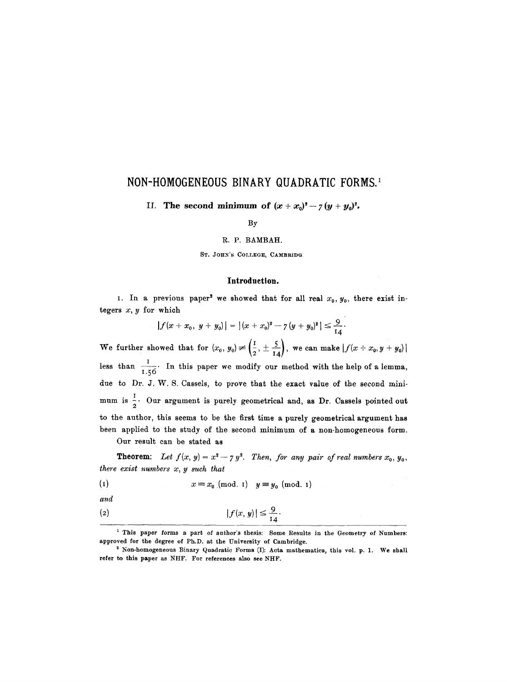# **NON-HOMOGENEOUS BINARY QUADRATIC FORMS. 1**

II. The second minimum of  $(x+x_0)^2 - 7(y+y_0)^2$ .

## By

#### R. P. BAMBAH.

ST. JOHN'S COLLEGE, CAMBRIDG

# **Introduction.**

I. In a previous paper<sup>2</sup> we showed that for all real  $x_0, y_0$ , there exist integers  $x, y$  for which

$$
|f(x+x_0, y+y_0)| = |(x+x_0)^2 - 7(y+y_0)^2| \leq \frac{9}{14}.
$$

We further showed that for  $(x_0, y_0) \neq (\frac{1}{2}, \pm \frac{5}{14})$ , we can make  $|f(x+x_0, y+y_0)|$ less than  $\frac{1}{1.56}$ . In this paper we modify our method with the help of a lemma, due to Dr. J. W. S. Cassels, to prove that the exact value of the second minimum is  $\frac{1}{2}$ . Our argument is purely geometrical and, as Dr. Cassels pointed out to the author, this seems to be the first time a purely geometrical argument has been applied to the study of the second minimum of a non-homogeneous form.

Our result can be stated as

**Theorem:** Let  $f(x, y) = x^2 - 7y^2$ . Then, for any pair of real numbers  $x_0, y_0,$ *there exist numbers x, y such that* 

$$
(1) \t x \equiv x_0 \pmod{1} \t y \equiv y_0 \pmod{1}
$$

*and* 

$$
|f(x, y)| \leq \frac{9}{14}
$$

<sup>1</sup> This paper forms a part of author's thesis: Some Results in the Geometry of Numbers: approved for the degree of Ph.D. at the University of Cambridge.

<sup>&</sup>lt;sup>2</sup> Non-homogeneous Binary Quadratic Forms (I): Acta mathematica, this vol. p. 1. We shall refer to this paper as NHF. For references also **see NHF.**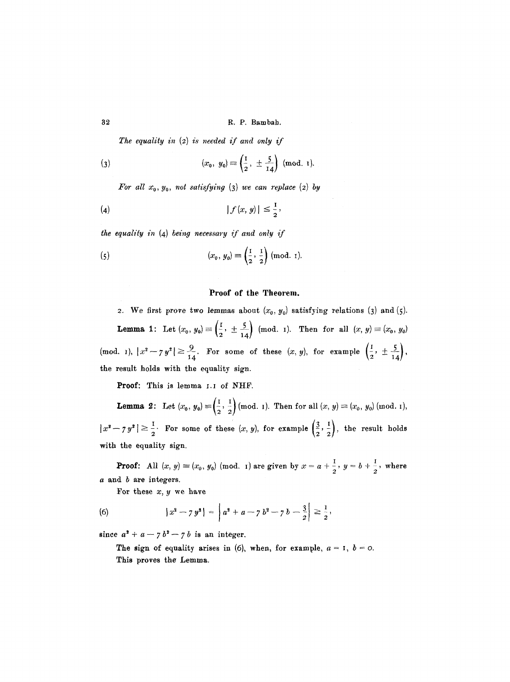32 R.P. Bambah.

*The equality in* (2) *is needed if and only if* 

(3) 
$$
(x_0, y_0) \equiv \left(\frac{1}{2}, \pm \frac{5}{14}\right) \pmod{1}
$$
.

*For all*  $x_0$ *,*  $y_0$ *, not satisfying* (3) *we can replace* (2) *by* 

$$
|f(x, y)| \leq \frac{1}{2},
$$

*the equality in* (4) *being necessary if and only if* 

(5) 
$$
(x_0, y_0) \equiv \left(\frac{1}{2}, \frac{1}{2}\right) \text{ (mod. } \tau).
$$

## Proof of the Theorem.

2. We first prove two lemmas about  $(x_0, y_0)$  satisfying relations (3) and (5). **Lemma 1:** Let  $(x_0, y_0) \equiv \left(\frac{1}{2}, \pm \frac{5}{14}\right)$  (mod. 1). Then for all  $(x, y) \equiv (x_0, y_0)$  $p(\text{mod. } 1), |x^2 - 7y^2| \ge \frac{9}{14}$ . For some of these  $(x, y)$ , for example  $\left(\frac{1}{2}, \frac{1}{2}, \frac{3}{14}\right)$ the result holds with the equality sign.

Proof: This is lemma I.I of NHF.

**Lemma 2:** Let  $(x_0, y_0) = (-, -)$  (mod. 1). Then for all  $(x, y) = (x_0, y_0)$  (mod. 1),  $\frac{1}{2}$  For some of these  $(x, y)$ , for example  $\left(\frac{3}{2}, \frac{1}{2}\right)$ , the result holds with the equality sign.

**Proof:** All  $(x, y) \equiv (x_0, y_0)$  (mod. 1) are given by  $x = a + \frac{1}{2}$ ,  $y = b + \frac{1}{2}$ , where a and b are integers.

For these  $x, y$  we have

(6) 
$$
|x^2 - 7y^2| = |a^2 + a - 7b^2 - 7b - \frac{3}{2}| \geq \frac{1}{2},
$$

since  $a^2 + a - 7 b^2 - 7 b$  is an integer.

The sign of equality arises in (6), when, for example,  $a = 1$ ,  $b = 0$ . This proves the Lemma.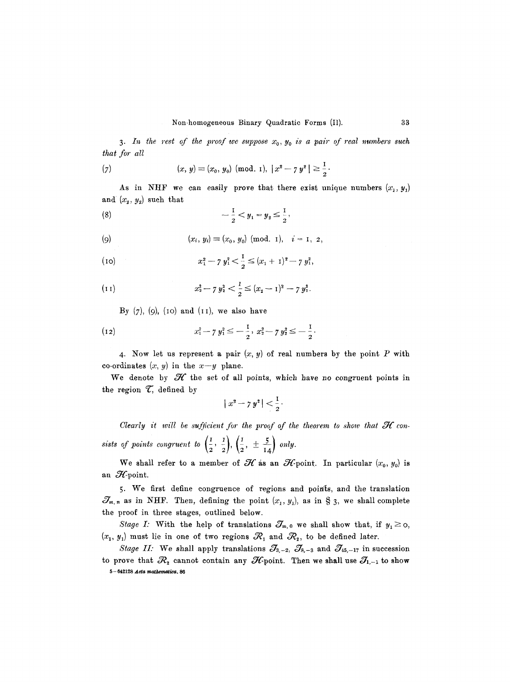3. In the rest of the proof we suppose  $x_0, y_0$  is a pair of real numbers such *that for all* 

(7) 
$$
(x, y) \equiv (x_0, y_0) \pmod{1}, |x^2 - 7y^2| \ge \frac{1}{2}
$$

As in NHF we can easily prove that there exist unique numbers  $(x_1, y_1)$ and  $(x_2, y_2)$  such that

(8) 
$$
-\frac{1}{2} < y_1 = y_2 \leq \frac{1}{2},
$$

*(0) (Xi, Yi)* -- (X0, Y0) (rood. I), i = I, 2,

(10) 
$$
x_1^2 - 7 y_1^2 < \frac{1}{2} \leq (x_1 + 1)^2 - 7 y_1^2,
$$

(11) 
$$
x_2^2 - 7 y_2^2 < \frac{1}{2} \leq (x_2 - 1)^2 - 7 y_2^2.
$$

By  $(7)$ ,  $(9)$ ,  $(10)$  and  $(11)$ , we also have

(12) 
$$
x_1^2 - 7 y_1^2 \leq -\frac{1}{2}, \ x_2^2 - 7 y_2^2 \leq -\frac{1}{2}.
$$

4. Now let us represent a pair  $(x, y)$  of real numbers by the point P with co-ordinates  $(x, y)$  in the  $x-y$  plane.

We denote by  $\mathcal H$  the set of all points, which have no congruent points in the region  $\mathcal{T}$ , defined by

$$
|x^2 - 7y^2| < \frac{1}{2}.
$$

*Clearly it will be sufficient for the proof of the theorem to show that*  $\mathcal H$  *consists of points congruent to*  $\left(\frac{1}{2}, \frac{1}{2}\right), \left(\frac{1}{2}, \pm \frac{5}{14}\right)$  only.

We shall refer to a member of  $\mathcal H$  as an  $\mathcal H$ -point. In particular  $(x_0, y_0)$  is an  $\mathcal{H}$ -point.

5. We first define congruence of regions and points, and the translation  $\mathcal{J}_{m,n}$  as in NHF. Then, defining the point  $(x_1, y_1)$ , as in § 3, we shall complete the proof in three stages, outlined below.

*Stage I:* With the help of translations  $\mathcal{J}_{m,0}$  we shall show that, if  $y_1 \geq o$ ,  $(x_1, y_1)$  must lie in one of two regions  $\mathcal{R}_1$  and  $\mathcal{R}_2$ , to be defined later.

*Stage II:* We shall apply translations  $\mathcal{J}_{3,-2}$ ,  $\mathcal{J}_{8,-3}$  and  $\mathcal{J}_{45,-17}$  in succession to prove that  $\mathcal{R}_2$  cannot contain any  $\mathcal{H}$ -point. Then we shall use  $\mathcal{J}_{1,-1}$  to show  $5 - 642128$  Acta mathematica. 86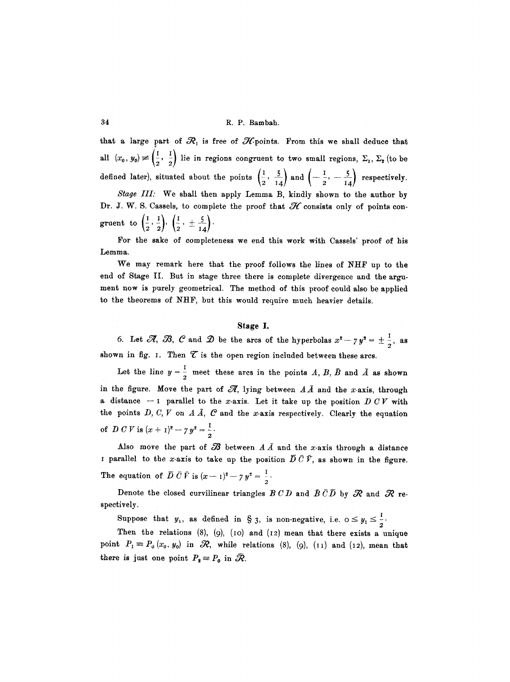that a large part of  $\mathcal{R}_1$  is free of  $\mathcal{H}$ -points. From this we shall deduce that all  $(x_0, y_0) \neq (\frac{1}{2}, \frac{1}{2})$  lie in regions congruent to two small regions,  $\Sigma_1$ ,  $\Sigma_2$  (to be defined later), situated about the points  $\left(\frac{1}{2}, \frac{5}{14}\right)$  and  $\left(-\frac{1}{2}, -\frac{5}{14}\right)$  respectively.

*Stage III:* We shall then apply Lemma B, kindly shown to the author by Dr. J. W. S. Cassels, to complete the proof that  $H$  consists only of points congruent to  $\left(\frac{1}{2},\frac{1}{2}\right), \left(\frac{1}{2},\pm\frac{5}{14}\right)$ .

For the sake of completeness we end this work with Cassels' proof of his Lemma.

We may remark here that the proof follows the lines of NHF up to the end of Stage II. But in stage three there is complete divergence and the argument now is purely geometrical. The method of this proof could also be applied to the theorems of NHF, but this would require much heavier details.

## **Stage I.**

6. Let  $\mathscr{R}, \mathscr{B}, \mathscr{C}$  and  $\mathscr{D}$  be the arcs of the hyperbolas  $x^2 - 7y^2 = \pm \frac{1}{2}$ , as shown in fig. 1. Then  $\mathcal T$  is the open region included between these arcs.

Let the line  $y = \frac{1}{2}$  meet these arcs in the points A, B, B and A as shown in the figure. Move the part of  $\mathscr{R}$ , lying between  $A\overline{A}$  and the x-axis, through a distance  $-1$  parallel to the x-axis. Let it take up the position DCV with the points  $D, C, V$  on  $A\bar{A}, C$  and the x-axis respectively. Clearly the equation of *D C V* is  $(x + 1)^2 - 7y^2 = \frac{1}{2}$ .

Also move the part of  $\mathcal B$  between  $A\overline{A}$  and the x-axis through a distance I parallel to the x-axis to take up the position  $\overline{D} \,\overline{C} \,\overline{V}$ , as shown in the figure. The equation of  $D C V$  is  $(x - 1)^2 - 7 y^2 = \frac{1}{2}$ .

Denote the closed curvilinear triangles  $B C D$  and  $\bar{B} \bar{C} \bar{D}$  by  $\mathcal R$  and  $\mathcal R$  respectively.

Suppose that  $y_1$ , as defined in § 3, is non-negative, i.e.  $0 \le y_1 \le \frac{1}{2}$ .

Then the relations  $(8)$ ,  $(9)$ ,  $(10)$  and  $(12)$  mean that there exists a unique point  $P_1 \equiv P_0(x_0, y_0)$  in  $\Re$ , while relations (8), (9), (11) and (12), mean that there is just one point  $P_2 = P_0$  in  $\mathcal{R}$ .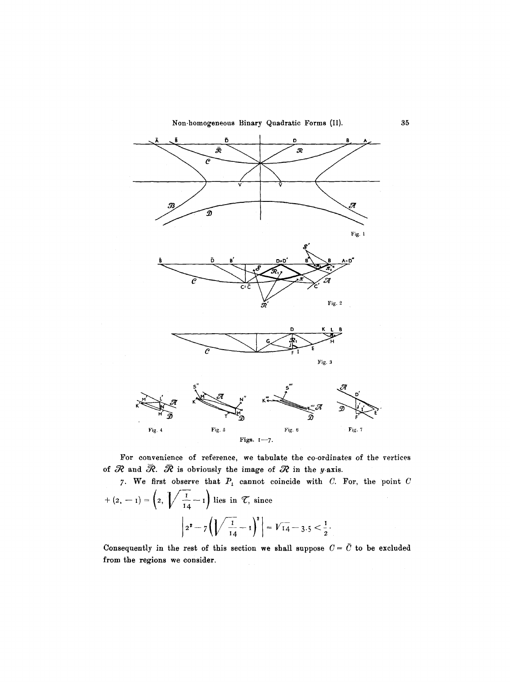Non-homogeneous Binary Quadratic Forms (II).



For convenience of reference, we tabulate the co-ordinates of the vertices of  $R$  and  $\bar{R}$ .  $\bar{R}$  is obviously the image of  $R$  in the y-axis.

7. We first observe that  $P_1$  cannot coincide with C. For, the point C  $+(2,-1)= \left(2, \sqrt{\frac{1}{14}}-1\right)$  lies in  $\mathcal{T}$ , since  $\left|2^2-7\left(\sqrt{\frac{1}{14}}-1\right)^2\right| = \sqrt{14}-3.5 < \frac{1}{2}.$ 

Consequently in the rest of this section we shall suppose  $C = \overline{C}$  to be excluded from the regions we consider.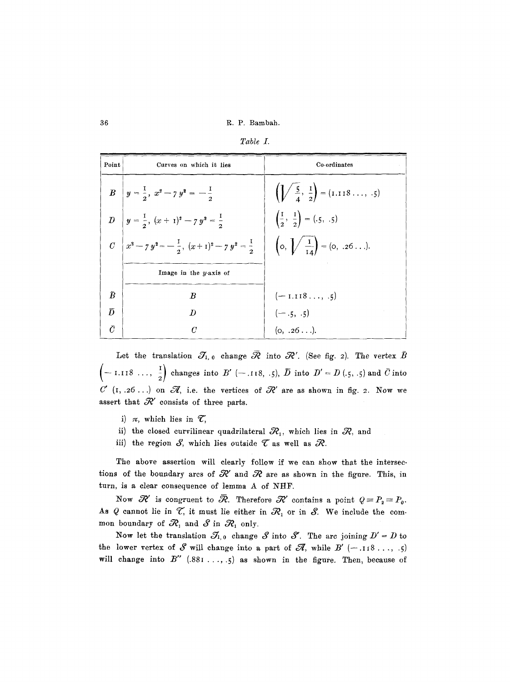36 R. P. gambah.

| Table |  |
|-------|--|
|       |  |

| Point     | Curves on which it lies                                       | Co-ordinates                                         |
|-----------|---------------------------------------------------------------|------------------------------------------------------|
|           | $B \left  y = \frac{1}{2}, x^2 - 7y^2 = -\frac{1}{2}$         | $\left(\frac{5}{4}, \frac{1}{2}\right) = (1.118, 5)$ |
|           | D $y = \frac{1}{2}, (x + 1)^2 - 7y^2 = \frac{1}{2}$           | $\left(\frac{1}{2}, \frac{1}{2}\right) = (.5, .5)$   |
|           | $C\left(x^2-y^2=-\frac{1}{2}, (x+1)^2-z^2=\frac{1}{2}\right)$ | $\left(0, \sqrt{\frac{1}{14}}\right) = (0, .26).$    |
|           | Image in the $y$ -axis of                                     |                                                      |
| $\bar{B}$ | $\boldsymbol{B}$                                              | $(-1.118, .5)$                                       |
| $\bar{D}$ | $\boldsymbol{D}$                                              | $(-.5, .5)$<br>(o, .26).                             |
| Ō         | $\mathcal{C}$                                                 |                                                      |

Let the translation  $\mathcal{J}_{1,0}$  change  $\bar{\mathcal{R}}$  into  $\mathcal{R}'$ . (See fig. 2). The vertex  $\bar{B}$  $\left(-1.118\ldots,\frac{1}{2}\right)$  changes into  $B'$  (-.118, .5),  $\overline{D}$  into  $D' = D$  (.5, .5) and  $\overline{C}$  into  $C'$  (I, .26...) on  $\mathscr{A}$ , i.e. the vertices of  $\mathscr{R}'$  are as shown in fig. 2. Now we assert that  $\mathcal{R}'$  consists of three parts.

- i)  $\pi$ , which lies in  $\mathcal{T}$ ,
- ii) the closed curvilinear quadrilateral  $\mathcal{R}_1$ , which lies in  $\mathcal{R}_2$ , and
- iii) the region  $S$ , which lies outside  $\mathcal T$  as well as  $\mathcal R$ .

The above assertion will clearly follow if we can show that the intersections of the boundary arcs of  $\mathcal{R}'$  and  $\mathcal{R}$  are as shown in the figure. This, in turn, is a clear consequence of lemma A of NHF.

Now  $~\mathcal{R}'$  is congruent to  $~\overline{\mathcal{R}}$ . Therefore  $~\mathcal{R}'$  contains a point  $~Q = P_{2} = P_{0}.$ As Q cannot lie in  $\mathcal{T}$ , it must lie either in  $\mathcal{R}_i$  or in  $\mathcal{S}$ . We include the common boundary of  $\mathcal{R}_1$  and  $\mathcal{S}$  in  $\mathcal{R}_1$  only.

Now let the translation  $\mathcal{J}_{1,0}$  change  $S$  into  $S'$ . The arc joining  $D' = D$  to the lower vertex of  $S$  will change into a part of  $\mathscr{A}$ , while  $B'$  (-.118..., .5) will change into  $B''$  (.881 ..., .5) as shown in the figure. Then, because of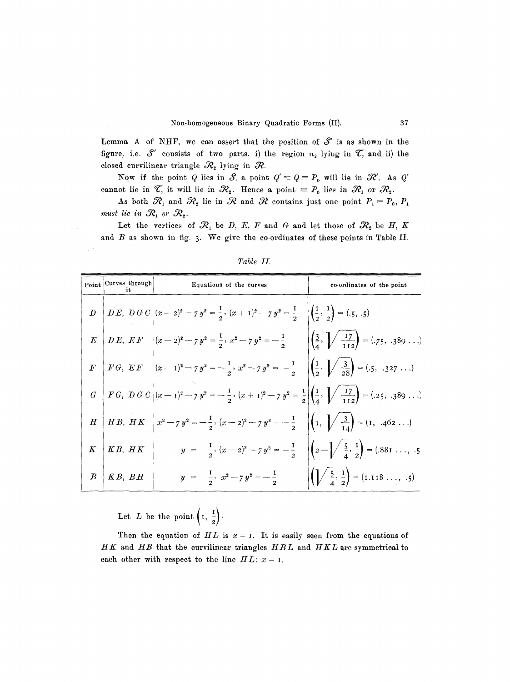Lemma A of NHF, we can assert that the position of  $S'$  is as shown in the figure, i.e.  $S'$  consists of two parts. i) the region  $\pi_2$  lying in  $\mathcal{T}$ , and ii) the closed curvilinear triangle  $\mathcal{R}_2$  lying in  $\mathcal{R}$ .

Now if the point Q lies in S, a point  $Q' \equiv Q \equiv P_0$  will lie in  $\mathcal{R}'$ . As Q' cannot lie in  $\mathcal{T}$ , it will lie in  $\mathcal{R}_2$ . Hence a point  $P_0$  lies in  $\mathcal{R}_1$  or  $\mathcal{R}_2$ .

As both  $\mathcal{R}_1$  and  $\mathcal{R}_2$  lie in  $\mathcal R$  and  $\mathcal R$  contains just one point  $P_1 \equiv P_0, P_1$ *must lie in*  $\mathcal{R}_1$  or  $\mathcal{R}_2$ .

Let the vertices of  $\mathcal{R}_1$  be D, E, F and G and let those of  $\mathcal{R}_2$  be H, K and  $B$  as shown in fig. 3. We give the co-ordinates of these points in Table II.

|           | Point Curves through<br>it                      | Equations of the curves                                                                                                                                                                                             | co-ordinates of the point |
|-----------|-------------------------------------------------|---------------------------------------------------------------------------------------------------------------------------------------------------------------------------------------------------------------------|---------------------------|
|           |                                                 | $D \left  \overline{DE}, \overline{D} \overline{G} \overline{C} \right  (x-2)^2 - 7 y^2 = \frac{1}{2}, (x+1)^2 - 7 y^2 = \frac{1}{2} \left  \begin{pmatrix} \frac{1}{2}, \frac{1}{2} \\ 2 \end{pmatrix} = (.5, .5)$ |                           |
|           |                                                 | $E\left[DE, EF\right](x-z)^2 - 7y^2 = \frac{1}{2}, x^2 - 7y^2 = -\frac{1}{2}$ $\left[\left(\frac{3}{4}, \sqrt{\frac{17}{112}}\right) = (.75, .389)$                                                                 |                           |
|           |                                                 | $F\left[FG, EF\right](x-1)^2 - 7y^2 = -\frac{1}{2}, x^2 - 7y^2 = -\frac{1}{2} \left( \frac{1}{2}, \sqrt{\frac{3}{28}} \right) = (.5, .327)$                                                                         |                           |
|           |                                                 | $G \left FG, DG C\right (x-1)^2 - 7y^2 = -\frac{1}{2}, (x+1)^2 - 7y^2 = \frac{1}{2}\left \left(\frac{1}{4}, \sqrt{\frac{17}{112}}\right) - (0.25, 0.389\dots)\right $                                               |                           |
|           |                                                 | $H \mid HB, \ HK \mid x^2 - 7y^2 = -\frac{1}{2}, \ (x-2)^2 - 7y^2 = -\frac{1}{2} \quad \left  \left(1, \sqrt{\frac{3}{14}}\right) = (1, .462 \ldots) \right $                                                       |                           |
| $K \vert$ | $KB, \ HK$                                      | $y = \frac{1}{2}, (x - 2)^2 - 7y^2 = -\frac{1}{2}$ $\left  \left( 2 - \sqrt{\frac{5}{4}}, \frac{1}{2} \right) \right  = (.881 \ldots, .5)$                                                                          |                           |
|           | $\begin{array}{c c} B & K B, \ B H \end{array}$ | $y = \frac{1}{2}, x^2 - 7y^2 = -\frac{1}{2}$ $\left(\sqrt{\frac{5}{4}}, \frac{1}{2}\right) = (1.118 \dots, .5)$                                                                                                     |                           |

*Table II.* 

Let L be the point  $\left(1, \frac{1}{2}\right)$ .

Then the equation of  $HL$  is  $x = 1$ . It is easily seen from the equations of *HK* and *HB* that the curvilinear triangles *HBL* and *HKL* are symmetrical to each other with respect to the line  $HL: x = I$ .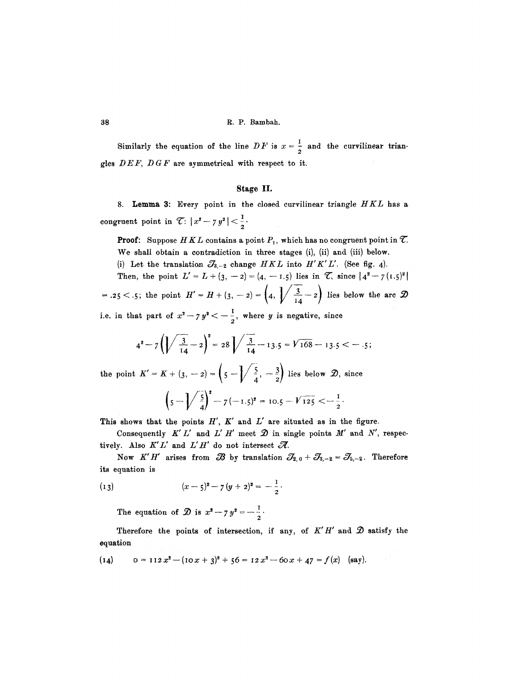Similarly the equation of the line  $DF$  is  $x = \frac{1}{2}$  and the curvilinear triangles *DEF, DGF* are symmetrical with respect to it.

# **Stage** II.

8. Lemma 3: Every point in the closed curvilinear triangle *HKL* has a congruent point in  $\mathcal{C}: |x^2 - 7y^2| < \frac{1}{2}$ .

**Proof:** Suppose  $HKL$  contains a point  $P_1$ , which has no congruent point in  $\mathcal{T}$ . We shall obtain a contradiction in three stages (i), (ii) and (iii) below.

(i) Let the translation  $\mathcal{J}_{3,-2}$  change  $HKL$  into  $H'K'L'$ . (See fig. 4).

Then, the point  $L' = L + (3,-2) = (4,-1.5)$  lies in  $\mathcal{L}$ , since  $|4^2 - 7(1.5)^2|$ =.25 < .5; the point  $H' = H + (3, -2) = \left(4, \sqrt{\frac{3}{14}} - 2\right)$  lies below the arc  $\mathcal{D}$ 

i.e. in that part of  $x^2 - 7y^2 < -\frac{1}{2}$ , where y is negative, since

$$
4^2-7\left(\sqrt{\frac{3}{14}}-2\right)^2=28\sqrt{\frac{3}{14}}-13.5=\sqrt{168}-13.5<-.5;
$$

the point  $K' = K + (3, -2) = \left(\frac{5}{4}, -\frac{3}{2}\right)$  lies below  $\mathcal{D}$ , since

$$
\left(5-\sqrt{\frac{5}{4}}\right)^2-7(-1.5)^2=10.5-\sqrt{125}<-{\frac{1}{2}}.
$$

This shows that the points  $H'$ ,  $K'$  and  $L'$  are situated as in the figure.

Consequently  $K'L'$  and  $L'H'$  meet  $\mathcal D$  in single points  $M'$  and  $N'$ , respectively. Also  $K'L'$  and  $L'H'$  do not intersect  $\mathscr{R}$ .

Now *K'H'* arises from  $\mathscr{B}$  by translation  $\mathscr{S}_{2,0} + \mathscr{S}_{3,-2} = \mathscr{S}_{5,-2}$ . Therefore its equation is

(13) 
$$
(x-5)^2 - 7 (y+2)^2 = -\frac{1}{2}.
$$

The equation of  $\hat{\mathcal{D}}$  is  $x^2 - 7 y^2 = -\frac{1}{2}$ 

Therefore the points of intersection, if any, of  $K'H'$  and  $\mathcal D$  satisfy the equation

(14) 
$$
0 = 112 x^2 - (10x + 3)^2 + 56 = 12 x^2 - 60x + 47 = f(x)
$$
 (say).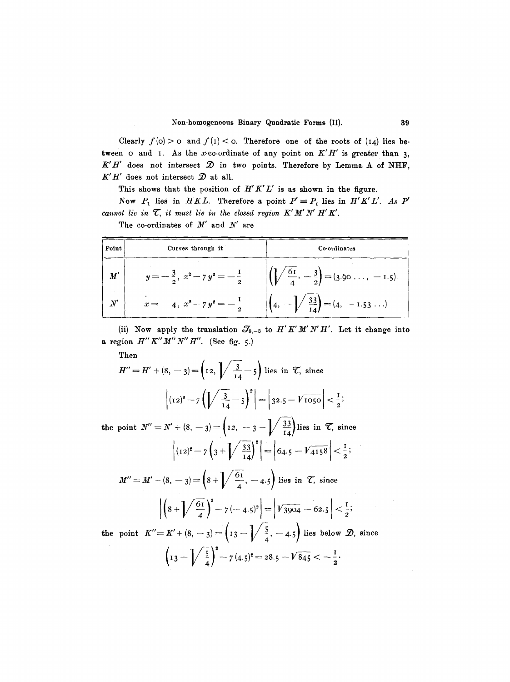Clearly  $f(0) > 0$  and  $f(1) < 0$ . Therefore one of the roots of  $(14)$  lies between o and I. As the x-co-ordinate of any point on  $K'H'$  is greater than 3,  $K'H'$  does not intersect  $\mathcal D$  in two points. Therefore by Lemma A of NHF,  $K'H'$  does not intersect  $\mathcal D$  at all.

This shows that the position of  $H'K'L'$  is as shown in the figure.

Now  $P_1$  lies in *HKL*. Therefore a point  $P' \equiv P_1$  lies in *H'K'L'. As*  $P'$ *cannot lie in*  $\mathcal{T}$ , it must lie in the closed region  $K'M'N'H'K'$ .

| Point                     | Curves through it                       | Co-ordinates                                                                                        |
|---------------------------|-----------------------------------------|-----------------------------------------------------------------------------------------------------|
| $\boldsymbol{M}^{\prime}$ | $y=-\frac{3}{2}, x^2-7y^2=-\frac{1}{2}$ | $\left(\left\lfloor \sqrt{\frac{61}{4}}, -\frac{3}{2} \right\rfloor = (3.90 \ldots, -1.5). \right)$ |
| $N^\prime$                | $x = 4, x^2 - 7y^2 = -\frac{1}{2}$      | $(4, -\frac{33}{14}) = (4, -1.53)$                                                                  |

The co-ordinates of  $M'$  and  $N'$  are

(ii) Now apply the translation  $\mathcal{J}_{8,-3}$  to *H'K'M'N'H'*. Let it change into a region  $H''K''M''N''H''$ . (See fig. 5.)

Then

$$
H'' = H' + (8, -3) = \left(12, \sqrt{\frac{3}{14}} - 5\right) \text{ lies in } \mathcal{T}, \text{ since}
$$

$$
\left| (12)^2 - 7\left(\sqrt{\frac{3}{14}} - 5\right)^2 \right| = \left| 32.5 - \sqrt{1050} \right| < \frac{1}{2};
$$

**the point**  $N'' = N' + (8, -3) = \left(12, -3-\sqrt{\frac{33}{14}}\right)$  lies in  $\mathcal{T}$ , since  $\left| (12)^2 - 7 \left( 3 + \sqrt{\frac{33}{14}} \right)^2 \right| = \left| 64.5 - \sqrt{4158} \right| < \frac{1}{2};$  $M'' = M' + (8, -3) = \left(8 + \sqrt{\frac{61}{4}}, -4.5\right)$  lies in  $\mathcal{T}$ , since

$$
\left| \left( 8 + \sqrt{\frac{61}{4}} \right)^2 - 7(-4.5)^2 \right| = \left| \sqrt{3904} - 62.5 \right| < \frac{1}{2};
$$

the point  $K''=K'+(8,-3)=\left(13-\sqrt{\frac{5}{4}},-4.5\right)$  lies below  $\mathcal{D}$ , since  $\left(13-\sqrt{\frac{5}{4}}\right)^2 - 7(4.5)^2 = 28.5 - \sqrt{845} < -\frac{1}{2}.$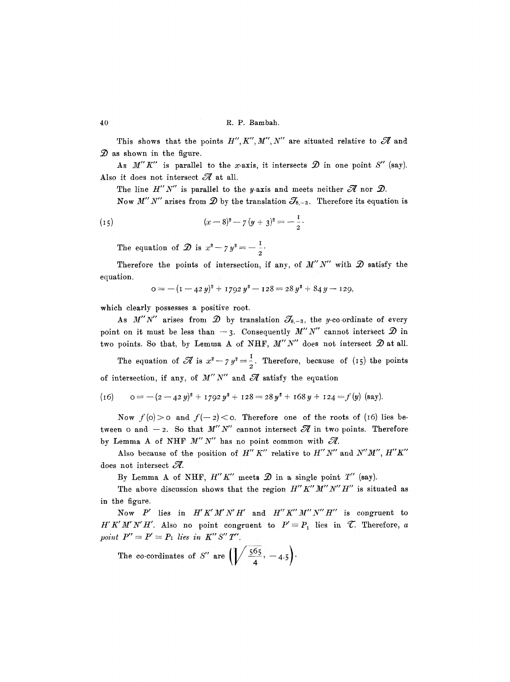This shows that the points  $H'', K'', M'', N''$  are situated relative to  $\mathscr A$  and  $\mathcal D$  as shown in the figure.

As  $M''K''$  is parallel to the x-axis, it intersects  $\mathcal D$  in one point  $S''$  (say). Also it does not intersect  $\mathscr A$  at all.

The line  $H''N''$  is parallel to the y-axis and meets neither  $\mathscr A$  nor  $\mathscr D$ .

Now  $M''N''$  arises from  $\mathcal{D}$  by the translation  $\mathcal{J}_{8,-3}$ . Therefore its equation is

(15) 
$$
(x-8)^2 - 7 (y+3)^2 = -\frac{1}{2}.
$$

The equation of  $\mathcal{D}$  is  $x^2 - 7y^2 = -\frac{1}{2}$ .

Therefore the points of intersection, if any, of  $M''N''$  with  $\mathcal D$  satisfy the equation.

$$
o = -(1 - 42 y)^2 + 1792 y^2 - 128 = 28 y^2 + 84 y - 129,
$$

which clearly possesses a positive root.

As M"N" arises from  $\mathcal{D}$  by translation  $\mathcal{J}_{s,-3}$ , the y-co-ordinate of every point on it must be less than  $-3$ . Consequently *M" N"* cannot intersect  $\mathcal{D}$  in two points. So that, by Lemma A of NHF,  $M''N''$  does not intersect  $\mathcal D$  at all.

The equation of  $\mathscr{A}$  is  $x^2 - 7y^2 = \frac{1}{2}$ . Therefore, because of (15) the points of intersection, if any, of  $M'' N''$  and  $\mathscr A$  satisfy the equation

(16) 
$$
o = -(2-42y)^2 + 1792y^2 + 128 = 28y^2 + 168y + 124 = f(y)
$$
 (say).

Now  $f(0) > 0$  and  $f(-2) < 0$ . Therefore one of the roots of (16) lies between 0 and  $-2$ . So that M''N" cannot intersect  $\mathscr A$  in two points. Therefore by Lemma A of NHF  $M''N''$  has no point common with  $\mathscr{A}$ .

Also because of the position of  $H'' K''$  relative to  $H'' N''$  and  $N'' M''$ ,  $H'' K''$ does not intersect  $\mathcal{A}$ .

By Lemma A of NHF,  $H''K''$  meets  $\mathcal D$  in a single point  $T''$  (say).

The above discussion shows that the region  $H''K''M''N''H''$  is situated as in the figure.

Now P' lies in  $H'K'M'N'H'$  and  $H''K''M''N''H''$  is congruent to *H'K'M'N'H'.* Also no point congruent to  $P' \equiv P_1$  lies in  $\mathcal{T}$ . Therefore, a *point*  $P'' \equiv P' \equiv P_1$  lies in  $K'' S'' T''$ .

The co-cordinates of S'' are  $\left(\frac{\sqrt{55}}{4}, -4.5\right)$ .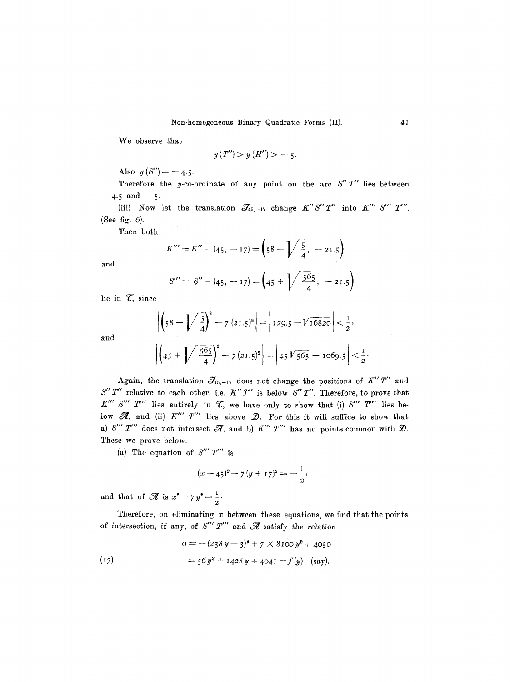We observe that

$$
y(T^{\prime\prime}) > y(H^{\prime\prime}) > -5.
$$

Also  $y(S'') = -4.5$ .

Therefore the y-co-ordinate of any point on the arc  $S''T''$  lies between  $-4.5$  and  $-5$ .

(iii) Now let the translation  $\mathcal{J}_{45,-17}$  change  $K''S''T'''$  into  $K'''S'''T'''$ . **(See fig. 6).** 

Then both

$$
K''' = K'' + (45, -17) = \left(58 - \sqrt{\frac{5}{4}}, -21.5\right)
$$

and

and

$$
S''' = S'' + (45, -17) = \left(45 + \sqrt{\frac{565}{4}}, -21.5\right)
$$

lie in  $\mathcal{T}$ , since

$$
\left| \left( 58 - \sqrt{\frac{5}{4}} \right)^2 - 7 (21.5)^2 \right| = \left| 129.5 - \sqrt{16820} \right| < \frac{1}{2},
$$

$$
\left| \left( 45 + \sqrt{\frac{565}{4}} \right)^2 - 7 (21.5)^2 \right| = \left| 45 \sqrt{565} - 1069.5 \right| < \frac{1}{2}.
$$

Again, the translation  $\mathcal{J}_{45,-17}$  does not change the positions of  $K''T''$  and  $S'' T''$  relative to each other, i.e.  $K'' T''$  is below  $S'' T''$ . Therefore, to prove that  $K''$  *S''' T'''* lies entirely in  $\mathcal{T}$ , we have only to show that (i) *S''' T'''* lies below  $\mathcal{A}$ , and (ii)  $K'''$   $T'''$  lies above  $\mathcal{D}$ . For this it will suffice to show that a)  $S''' T'''$  does not intersect  $\mathcal A$ , and b)  $K''' T'''$  has no points common with  $\mathcal D$ . These we prove below.

(a) The equation of  $S''' T'''$  is

$$
(x-45)^{2}-7(y+17)^{2}=-\frac{1}{2};
$$

and that of  $\mathscr{A}$  is  $x^2 - 7y^2 = \frac{1}{2}$ .

Therefore, on eliminating  $x$  between these equations, we find that the points of intersection, if any, of  $S''' T'''$  and  $\mathscr A$  satisfy the relation

(17) 
$$
0 = -(238 y - 3)^{2} + 7 \times 8100 y^{2} + 4050
$$

$$
= 56 y^{2} + 1428 y + 4041 = f(y) \text{ (say)}.
$$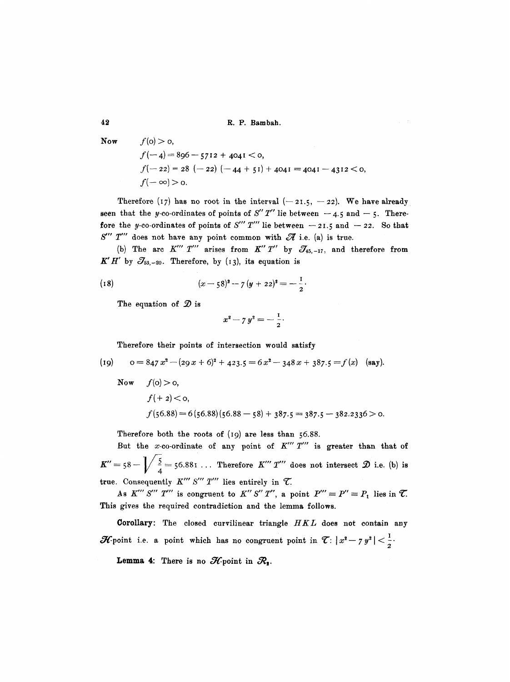**42 R.P. Bambah.** 

Now 
$$
f(0) > 0
$$
,  
\n $f(-4) = 896 - 5712 + 4041 < 0$ ,  
\n $f(-22) = 28 (-22) (-44 + 51) + 4041 = 4041 - 4312 < 0$   
\n $f(-\infty) > 0$ .

Therefore (17) has no root in the interval  $(-21.5, -22)$ . We have already seen that the y-co-ordinates of points of  $S'' T''$  lie between  $-4.5$  and  $-5$ . Therefore the y-co-ordinates of points of *S'''* T''' lie between  $-21.5$  and  $-22.$  So that  $S'''$   $T'''$  does not have any point common with  $\mathscr A$  i.e. (a) is true.

(b) The arc  $K'''$  T'' arises from  $K''$  T'' by  $\mathcal{J}_{45,-17}$ , and therefore from  $K'H'$  by  $\mathcal{J}_{53,-20}$ . Therefore, by (13), its equation is

(18) 
$$
(x-58)^2 - 7 (y+22)^2 = -\frac{1}{2}.
$$

The equation of  $\mathcal{D}$  is

$$
x^2 - 7y^2 = -\frac{1}{2}.
$$

Therefore their points of intersection would satisfy

(19) 
$$
o = 847 x^2 - (29 x + 6)^2 + 423.5 = 6 x^2 - 348 x + 387.5 = f(x)
$$
 (say).

Now 
$$
f(0) > 0
$$
,  
\n $f(+2) < 0$ ,  
\n $f(56.88) = 6(56.88)(56.88 - 58) + 387.5 = 387.5 - 382.2336 > 0$ .

Therefore both the roots of (I9) are less than 56.88.

But the x-co-ordinate of any point of  $K''' T'''$  is greater than that of  $K''=58-\sqrt{\frac{5}{4}}=56.881...$  Therefore  $K'''T'''$  does not intersect  $\mathcal{D}$  i.e. (b) is true. Consequently  $K'''$  S'''  $T'''$  lies entirely in  $\mathcal{T}$ .

As  $K''' S''' T'''$  is congruent to  $K'' S'' T''$ , a point  $P''' \equiv P' \equiv P_1$  lies in  $\mathcal{T}$ . This gives the required contradiction and the lemma follows.

Corollary: The closed eurvilinear triangle *HKL* does not contain any  $\mathcal{H}$ -point i.e. a point which has no congruent point in  $\mathcal{T}: |x^2 - y^2| < \frac{1}{2}$ . **Lemma 4:** There is no  $\mathcal{H}$ -point in  $\mathcal{R}_2$ .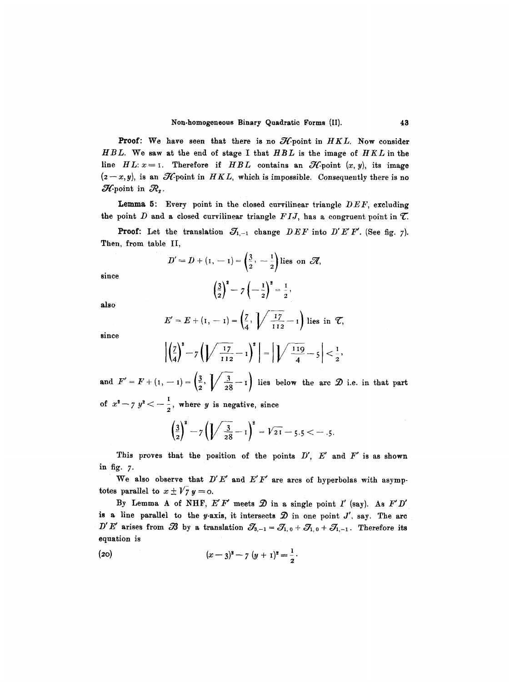**Proof:** We have seen that there is no  $\mathcal{H}$ -point in  $HKL$ . Now consider *HBL.* We saw at the end of stage I that *HBL* is the image of *HKL* in the line  $HL: x = I$ . Therefore if *HBL* contains an  $\mathcal{H}$ -point  $(x, y)$ , its image  $(z-x, y)$ , is an *H*-point in *HKL*, which is impossible. Consequently there is no  $\mathcal{H}$ -point in  $\mathcal{R}_{2}$ .

Lemma 5: Every point in the closed curvilinear triangle *DEF*, excluding the point  $D$  and a closed curvilinear triangle  $FIJ$ , has a congruent point in  $\mathcal{T}$ .

**Proof:** Let the translation  $\mathcal{J}_{1,-1}$  change  $DEF$  into  $D'E'F'$ . (See fig. 7). Then, from table II,

$$
D'=D+(1, -1)=\left(\frac{3}{2}, -\frac{1}{2}\right)
$$
lies on  $\mathscr{A}$ ,

since

**also** 

$$
\left(\frac{3}{2}\right)^2 - 7\left(-\frac{1}{2}\right)^2 = \frac{1}{2}
$$

 $= E + (1, -1) = \begin{pmatrix} 2 \\ 4 \end{pmatrix}$   $\begin{pmatrix} -2 \\ 112 \end{pmatrix}$  lies in  $\mathcal{C}$ ,

since

$$
\left|\left(\frac{7}{4}\right)^2 - 7\left(\left|\sqrt{\frac{17}{112}} - 1\right)^2\right| = \left|\sqrt{\frac{119}{4}} - 5\right| < \frac{1}{2},
$$

and  $F' = F + (1, -1) = \left(\frac{3}{2}, \sqrt{\frac{3}{28}} - 1\right)$  lies below the arc  $\mathcal{D}$  i.e. in that part of  $x^2 - 7$   $y^2 < -\frac{1}{2}$ , where y is negative, since

$$
\left(\frac{3}{2}\right)^2 - 7\left(\sqrt{\frac{3}{28}} - 1\right)^2 = \sqrt{21} - 5.5 < -0.5.
$$

This proves that the position of the points  $D'$ ,  $E'$  and  $F'$  is as shown in fig. 7.

We also observe that  $D'E'$  and  $E'F'$  are arcs of hyperbolas with asymptotes parallel to  $x \pm \sqrt{7} y = 0$ .

By Lemma A of NHF,  $E'F'$  meets  $\mathcal D$  in a single point  $I'$  (say). As  $F'D'$ is a line parallel to the y-axis, it intersects  $\mathcal D$  in one point  $J'$ , say. The arc  $D' E'$  arises from  $\mathscr{B}$  by a translation  $\mathscr{S}_{3,-1} = \mathscr{S}_{1,0} + \mathscr{S}_{1,0} + \mathscr{S}_{1,-1}$ . Therefore its equation is

(20) 
$$
(x-3)^2 - 7 (y+1)^2 = \frac{1}{2}.
$$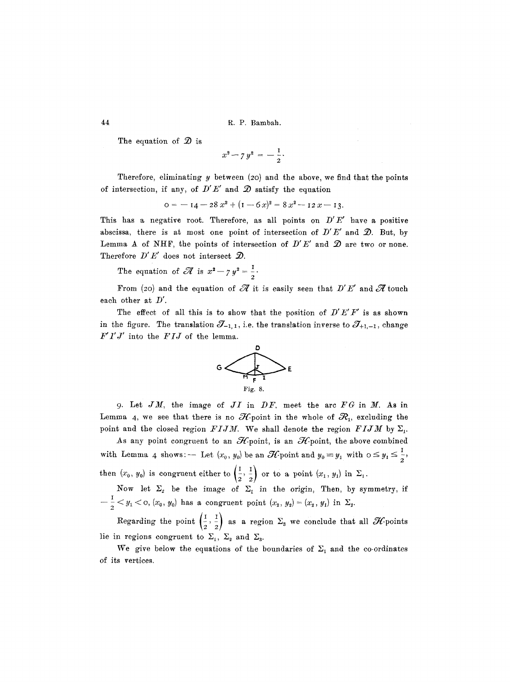44 R.P. Bambah.

The equation of  $\mathcal{D}$  is

$$
x^2 - 7y^2 = -\frac{1}{2}.
$$

Therefore, eliminating  $y$  between (20) and the above, we find that the points of intersection, if any, of  $D'E'$  and  $\mathcal D$  satisfy the equation

$$
0 = -14 - 28 x2 + (1 - 6 x)2 = 8 x2 - 12 x - 13.
$$

This has a negative root. Therefore, as all points on *D'E'* have a positive abscissa, there is at most one point of intersection of  $D'E'$  and  $D$ . But, by Lemma A of NHF, the points of intersection of  $D'E'$  and  $D$  are two or none. Therefore  $D' E'$  does not intersect  $\mathcal{D}$ .

The equation of  $\mathscr{A}$  is  $x^2 - 7 y^2 = \frac{1}{2}$ .

From (20) and the equation of  $\mathscr A$  it is easily seen that  $D'E'$  and  $\mathscr A$  touch each other at *D'.* 

The effect of all this is to show that the position of  $D'E'F'$  is as shown in the figure. The translation  $\mathcal{J}_{-1, 1}$ , i.e. the translation inverse to  $\mathcal{J}_{+1,-1}$ , change *F'l'J'* into the *FIJ* of the lemma.



9. Let  $JM$ , the image of  $JI$  in  $DF$ , meet the arc  $FG$  in  $M$ . As in Lemma 4, we see that there is no  $\mathcal{H}_{\text{point}}$  in the whole of  $\mathcal{R}_{1}$ , excluding the point and the closed region *FIJM*. We shall denote the region *FIJM* by  $\Sigma_1$ .

As any point congruent to an  $\mathcal{H}$ -point, is an  $\mathcal{H}$ -point, the above combined with Lemma 4 shows: -- Let  $(x_0, y_0)$  be an  $\mathscr{H}$  point and  $y_0 \equiv y_1$  with  $0 \le y_1 \le \frac{1}{2}$ , then  $(x_0, y_0)$  is congruent either to  $\left(\frac{1}{2}, \frac{1}{2}\right)$  or to a point  $(x_1, y_1)$  in  $\Sigma_1$ .

Now let  $\Sigma_2$  be the image of  $\Sigma_1$  in the origin, Then, by symmetry, if  $-\frac{1}{2} < y_1 <$  o,  $(x_0, y_0)$  has a congruent point  $(x_2, y_2) = (x_2, y_1)$  in  $\Sigma_2$ .

Regarding the point  $\left(\frac{1}{n},\frac{1}{n}\right)$  as a region  $\Sigma_{s}$  we conclude that all  $\mathscr{H}$  points lie in regions congruent to  $\Sigma_1$ ,  $\Sigma_2$  and  $\Sigma_3$ .

We give below the equations of the boundaries of  $\Sigma_1$  and the co-ordinates of its vertices.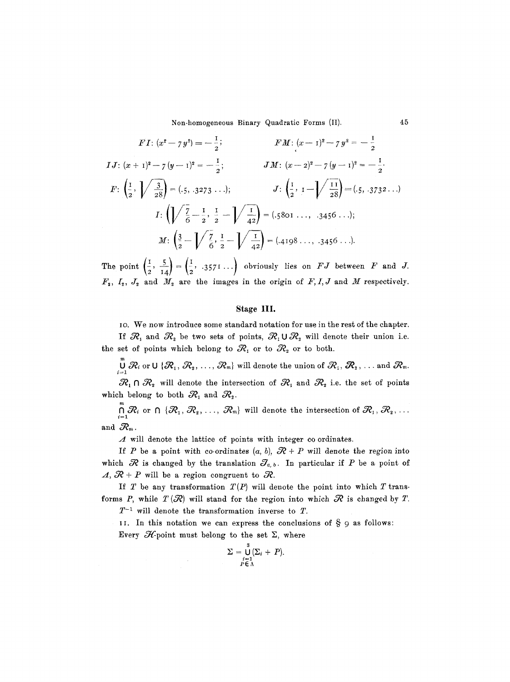Non-homogeneous Binary Quadratic Forms (II). 45

$$
F I: (x^{2} - 7 y^{2}) = -\frac{1}{2};
$$
  
\n
$$
I J: (x + 1)^{2} - 7 (y - 1)^{2} = -\frac{1}{2};
$$
  
\n
$$
I J: (x + 1)^{2} - 7 (y - 1)^{2} = -\frac{1}{2};
$$
  
\n
$$
J M: (x - 2)^{2} - 7 (y - 1)^{2} = -\frac{1}{2}.
$$
  
\n
$$
F: \left(\frac{1}{2}, \sqrt{\frac{3}{28}}\right) = (.5, .3273 \ldots);
$$
  
\n
$$
J: \left(\frac{1}{2}, 1 - \sqrt{\frac{11}{28}}\right) = (.5, .3732 \ldots)
$$
  
\n
$$
I: \left(\sqrt{\frac{7}{6}} - \frac{1}{2}, \frac{1}{2} - \sqrt{\frac{1}{42}}\right) = (.5801 \ldots, .3456 \ldots);
$$
  
\n
$$
M: \left(\frac{3}{2} - \sqrt{\frac{7}{6}}, \frac{1}{2} - \sqrt{\frac{1}{42}}\right) = (.4198 \ldots, .3456 \ldots).
$$

The point  $\left(\frac{1}{2}, \frac{5}{14}\right) = \left(\frac{1}{2}, .3571\ldots\right)$  obviously lies on  $FJ$  between  $F$  and  $J$ .  $F_2, I_2, J_2$  and  $M_2$  are the images in the origin of  $F, I, J$  and  $M$  respectively.

# **Stage IIl.**

io. We now introduce some standard notation for use in the rest of the chapter. If  $R_1$  and  $R_2$  be two sets of points,  $R_1 \cup R_2$  will denote their union i.e. the set of points which belong to  $\mathcal{R}_1$  or to  $\mathcal{R}_2$  or to both.

 $\bigcup\limits_{i=1}^m\mathcal{R}_i$  or U  $\{\mathcal{R}_1,$   $\mathcal{R}_2,$   $\dots,$   $\mathcal{R}_m\}$  will denote the union of  $\mathcal{R}_1,$   $\mathcal{R}_2,$   $\dots$  and  $\mathcal{R}_m$ .  $\mathcal{R}_1 \cap \mathcal{R}_2$  will denote the intersection of  $\mathcal{R}_1$  and  $\mathcal{R}_2$  i.e. the set of points

which belong to both  $\mathcal{R}_1$  and  $\mathcal{R}_2$ .

m  $\bigcap_{i=1}^n \mathcal{R}_i$  or  $\bigcap \{ \mathcal{R}_1, \mathcal{R}_2, \ldots, \mathcal{R}_m \}$  will denote the intersection of  $\mathcal{R}_1, \mathcal{R}_2, \ldots$ and  $\mathcal{R}_m$ .

 $\Lambda$  will denote the lattice of points with integer co ordinates.

If P be a point with co-ordinates  $(a, b)$ ,  $\mathcal{R} + P$  will denote the region into which  $\mathcal R$  is changed by the translation  $\mathcal J_{a, b}$ . In particular if P be a point of  $\Lambda$ ,  $\mathcal{R}$  + P will be a region congruent to  $\mathcal{R}$ .

If  $T$  be any transformation  $T(P)$  will denote the point into which  $T$  transforms P, while  $T({\mathcal R})$  will stand for the region into which  ${\mathcal R}$  is changed by T.

 $T^{-1}$  will denote the transformation inverse to  $T$ .

II. In this notation we can express the conclusions of  $\S$  9 as follows: Every  $\mathcal{H}$ -point must belong to the set  $\Sigma$ , where

$$
\Sigma = \bigcup_{\substack{i=1 \ p \in \Lambda}}^3 (\Sigma_i + P).
$$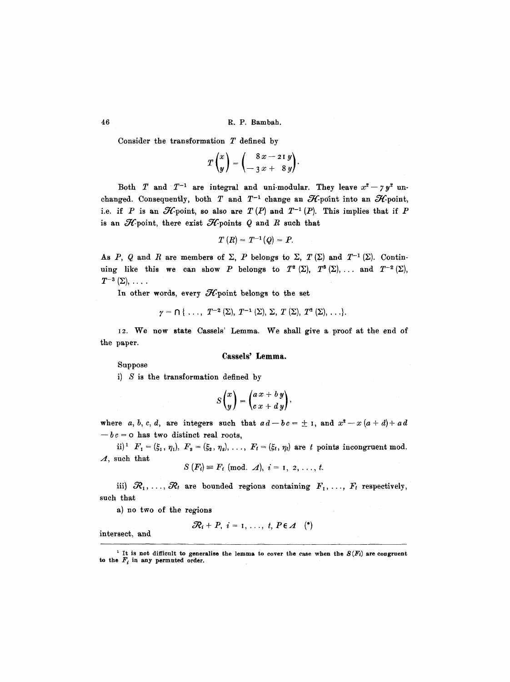Consider the transformation  $T$  defined by

$$
T\begin{pmatrix}x\\y\end{pmatrix}=\begin{pmatrix}8x-2iy\\-3x+8y\end{pmatrix}.
$$

Both T and  $T^{-1}$  are integral and uni-modular. They leave  $x^2 - 7y^2$  unchanged. Consequently, both  $T$  and  $T^{-1}$  change an  $\mathcal{H}$ -point into an  $\mathcal{H}$ -point, i.e. if P is an  $\mathscr{H}$ -point, so also are  $T(P)$  and  $T^{-1}(P)$ . This implies that if P is an  $H$ -point, there exist  $H$ -points  $Q$  and  $R$  such that

$$
T(R)=T^{-1}(Q)=P.
$$

As P, Q and R are members of  $\Sigma$ , P belongs to  $\Sigma$ ,  $T(\Sigma)$  and  $T^{-1}(\Sigma)$ . Continuing like this we can show P belongs to  $T^2(\Sigma)$ ,  $T^3(\Sigma)$ , ... and  $T^{-2}(\Sigma)$ ,  $T^{-3}(\Sigma), \ldots$ .

In other words, every  $H$ -point belongs to the set

$$
\gamma = \bigcap \{ \ldots, T^{-2}(\Sigma), T^{-1}(\Sigma), \Sigma, T(\Sigma), T^2(\Sigma), \ldots \}.
$$

I2. We **now state** Cassels' Lemma. We shall give a proof at the end of the paper.

## **Cassels' Lemma.**

Suppose

i)  $S$  is the transformation defined by

$$
S\binom{x}{y} = \binom{a\,x + b\,y}{c\,x + d\,y},
$$

where *a*, *b*, *c*, *d*, are integers such that  $ad-bc = \pm 1$ , and  $x^2 - x(a+d) + ad$  $-bc = o$  has two distinct real roots,

ii)<sup>1</sup>  $F_1 = (\xi_1, \eta_1), F_2 = (\xi_2, \eta_2), \ldots, F_t = (\xi_t, \eta_t)$  are t points incongruent mod.  $\Lambda$ , such that

$$
S(F_i) \equiv F_i \pmod{A}, i = 1, 2, \ldots, t.
$$

iii)  $\mathcal{R}_1, \ldots, \mathcal{R}_t$  are bounded regions containing  $F_1, \ldots, F_t$  respectively, such that

a) no two of the regions

$$
\mathcal{R}_i+P, i=1,\ldots, t, P\in \mathcal{A} \quad (*)
$$

intersect, and

<sup>&</sup>lt;sup>1</sup> It is not difficult to generalise the lemma to cover the case when the  $S(F_i)$  are congruent to the  $F_i$  in any permuted order.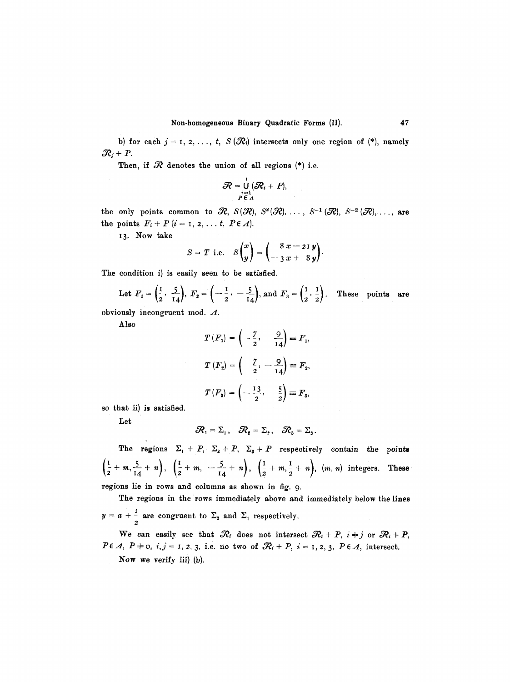b) for each  $j = 1, 2, ..., t$ ,  $S(\mathcal{R}_i)$  intersects only one region of (\*), namely  $\mathcal{R}_j+P$ .

Then, if  $\mathcal R$  denotes the union of all regions (\*) i.e.

$$
\mathcal{R} = \bigcup_{\substack{i=1 \\ P \in A}}^t (\mathcal{R}_i + P),
$$

the only points common to  $\mathcal{R}, S(\mathcal{R}), S^2(\mathcal{R}), \ldots, S^{-1}(\mathcal{R}), S^{-2}(\mathcal{R}), \ldots$ , are the points  $F_i + P$   $(i = 1, 2, \ldots t, P \in \Lambda)$ .

13. Now take

$$
S = T \text{ i.e. } S\begin{pmatrix} x \\ y \end{pmatrix} = \begin{pmatrix} 8x - 21y \\ -3x + 8y \end{pmatrix}.
$$

The condition i) is easily seen to be satisfied.

Let 
$$
F_1 = \left(\frac{1}{2}, \frac{5}{14}\right), F_2 = \left(-\frac{1}{2}, -\frac{5}{14}\right), \text{ and } F_3 = \left(\frac{1}{2}, \frac{1}{2}\right).
$$
 These points are

obviously incongruent mod.  $\Lambda$ .

Also

$$
T(F_1) = \left(-\frac{7}{2}, \frac{9}{14}\right) \equiv F_1,
$$
  

$$
T(F_2) = \left(\frac{7}{2}, -\frac{9}{14}\right) \equiv F_2,
$$
  

$$
T(F_3) = \left(-\frac{13}{2}, \frac{5}{2}\right) \equiv F_3,
$$

so that ii) is satisfied.

Let

 $\mathcal{R}_1 = \Sigma_1$ ,  $\mathcal{R}_2 = \Sigma_2$ ,  $\mathcal{R}_3 = \Sigma_3$ .

The regions  $\Sigma_1 + P$ ,  $\Sigma_2 + P$ ,  $\Sigma_3 + P$  respectively contain the points  $\left(\frac{1}{2}+m,\frac{5}{14}+n\right), \left(\frac{1}{2}+m,~-\frac{5}{14}+n\right), \left(\frac{1}{2}+m,\frac{1}{2}+n\right), (m, n)$  integers. These regions lie in rows and columns as shown in fig. 9.

The regions in the rows immediately above and immediately below the lines  $y = a + \frac{1}{2}$  are congruent to  $\Sigma_2$  and  $\Sigma_1$  respectively.

We can easily see that  $\mathcal{R}_i$  does not intersect  $\mathcal{R}_i + P$ ,  $i+j$  or  $\mathcal{R}_i + P$ ,  $P \in \mathcal{A}$ ,  $P \neq 0$ ,  $i, j = 1, 2, 3$ , i.e. no two of  $\mathcal{R}_i + P$ ,  $i = 1, 2, 3, P \in \mathcal{A}$ , intersect. Now we verify iii) (b).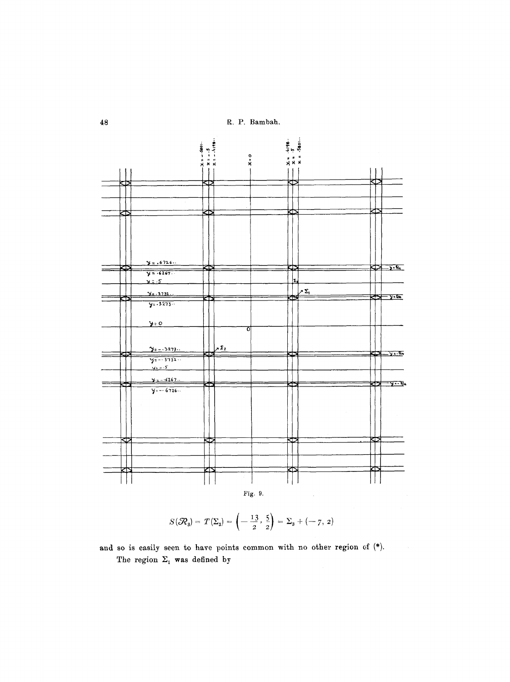48 R. P. Bambah.



$$
S(\mathcal{R}_3) = T(\Sigma_3) = \left(-\frac{13}{2}, \frac{5}{2}\right) = \Sigma_3 + (-7, 2)
$$

The region  $\Sigma_1$  was defined by and so is easily seen to have points common with no other region of  $(*)$ .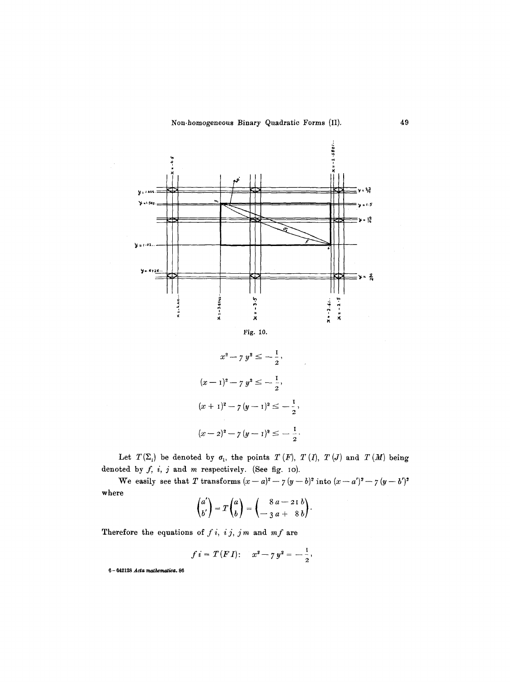

$$
x^{2} - 7 y^{2} \le -\frac{1}{2},
$$
  
\n
$$
(x - 1)^{2} - 7 y^{2} \le -\frac{1}{2},
$$
  
\n
$$
(x + 1)^{2} - 7 (y - 1)^{2} \le -\frac{1}{2},
$$
  
\n
$$
(x - 2)^{2} - 7 (y - 1)^{2} \le -\frac{1}{2}.
$$

Let  $T(\Sigma_i)$  be denoted by  $\sigma_i$ , the points  $T(F)$ ,  $T(T)$ ,  $T(J)$  and  $T(M)$  being denoted by  $f, i, j$  and m respectively. (See fig. 10).

We easily see that T transforms  $(x-a)^2 - 7(y-b)^2$  into  $(x-a')^2 - 7(y-b')^2$ where

$$
\begin{pmatrix} a' \\ b' \end{pmatrix} = T \begin{pmatrix} a \\ b \end{pmatrix} = \begin{pmatrix} 8 a - 21 b \\ -3 a + 8 b \end{pmatrix}.
$$

Therefore the equations of  $f i$ ,  $i j$ ,  $j m$  and  $m f$  are

$$
f i = T (F I)
$$
:  $x^2 - 7 y^2 = -\frac{1}{2}$ ,

 $6 - 642128$  Acta mathematica. 86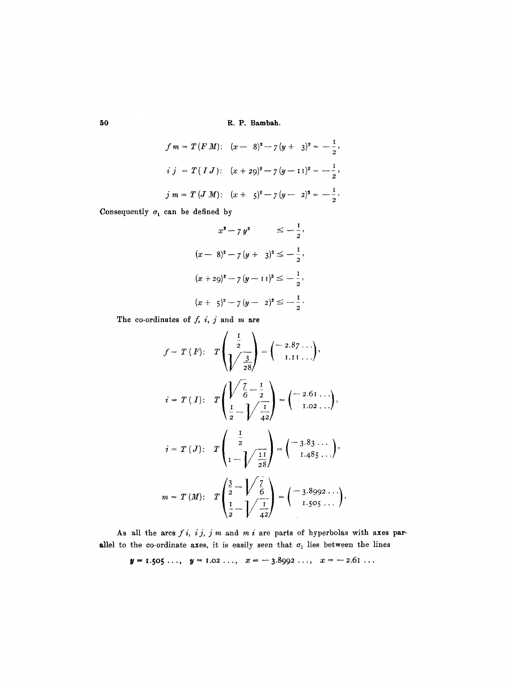**50 R.P. Bambah.** 

$$
f m = T (F M): (x - 8)^{2} - 7 (y + 3)^{2} = -\frac{1}{2},
$$
  
\n
$$
i j = T (I J): (x + 29)^{2} - 7 (y - 11)^{2} = -\frac{1}{2},
$$
  
\n
$$
j m = T (J M): (x + 5)^{2} - 7 (y - 2)^{2} = -\frac{1}{2}.
$$

 $\epsilon_{\rm x}$ 

 $\sim$   $\sim$ 

Consequently  $\sigma_1$  can be defined by

$$
x^{2} - 7 y^{2} \le -\frac{1}{2},
$$
  
\n
$$
(x - 8)^{2} - 7 (y + 3)^{2} \le -\frac{1}{2},
$$
  
\n
$$
(x + 29)^{2} - 7 (y - 11)^{2} \le -\frac{1}{2},
$$
  
\n
$$
(x + 5)^{2} - 7 (y - 2)^{2} \le -\frac{1}{2}.
$$

The co-ordinates of  $f$ ,  $i$ ,  $j$  and  $m$  are

$$
f = T(F): T\left(\frac{\frac{1}{2}}{\frac{3}{28}}\right) = \left(-\frac{2.87 \cdots}{1.11 \cdots}\right),
$$
  
\n
$$
i = T(I): T\left(\frac{\sqrt{\frac{7}{6}} - \frac{1}{2}}{\frac{1}{2} - \sqrt{\frac{1}{42}}}\right) = \left(-\frac{2.61 \cdots}{1.02 \cdots}\right),
$$
  
\n
$$
i = T(J): T\left(\frac{\frac{1}{2}}{1 - \sqrt{\frac{11}{28}}}\right) = \left(-\frac{3.83 \cdots}{1.485 \cdots}\right),
$$
  
\n
$$
m = T(M): T\left(\frac{\frac{3}{2} - \sqrt{\frac{7}{6}}}{\frac{1}{2} - \sqrt{\frac{1}{42}}}\right) = \left(-\frac{3.8992 \cdots}{1.505 \cdots}\right).
$$

As all the arcs *f i, i j,* j m and m i are parts of hyperbolas with axes parallel to the co-ordinate axes, it is easily seen that  $\sigma_1$  lies between the lines

$$
y = 1.505 \ldots, \quad y = 1.02 \ldots, \quad x = -3.8992 \ldots, \quad x = -2.61 \ldots
$$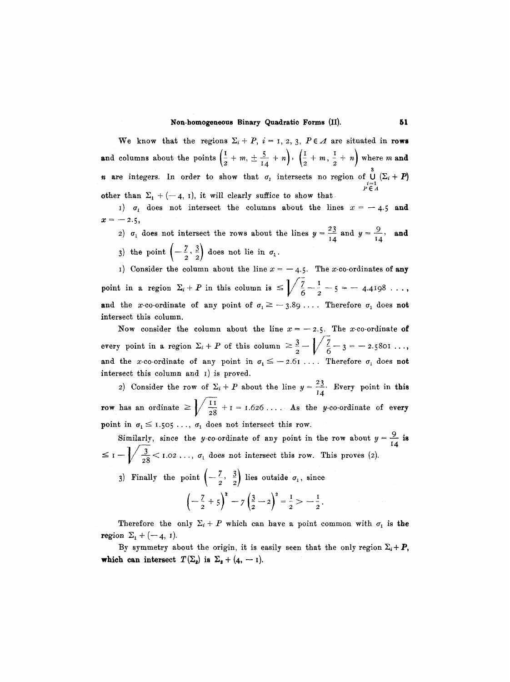#### **Non-homogeneous Binary Quadratic Forms (II). 61**

We know that the regions  $\Sigma_i + P$ ,  $i = 1, 2, 3, P \in \Lambda$  are situated in **rows and columns about the points**  $\left(\frac{1}{2} + m, \pm \frac{5}{14} + n\right)$ **,**  $\left(\frac{1}{2} + m, \frac{1}{2} + n\right)$  **where m and** *n* are integers. In order to show that  $\sigma_i$  intersects no region of  $\bigcup_{i=1}^3 (\Sigma_i + P)$ PEA other than  $\Sigma_1 + (-4, 1)$ , it will clearly suffice to show that.

1)  $\sigma_1$  does not intersect the columns about the lines  $x = -4.5$  and  $x = -2.5$ 

2)  $\sigma_1$  does not intersect the rows about the lines  $y = \frac{29}{14}$  and  $y = \frac{39}{14}$ , and 3) the point  $\left(-\frac{7}{2},\frac{3}{2}\right)$  does not lie in  $\sigma_1$ .

I) Consider the column about the line  $x = -4.5$ . The x-co-ordinates of any point in a region  $\Sigma_i + P$  in this column is  $\leq \frac{7}{6} - \frac{1}{2} - 5 = -4.4198...$ and the x-co-ordinate of any point of  $\sigma_1 \geq -3.89$ .... Therefore  $\sigma_1$  does not intersect this column.

Now consider the column about the line  $x=-2.5$ . The x-co-ordinate of every point in a region  $\Sigma_i + P$  of this column  $\geq \frac{3}{2} - \sqrt{\frac{2}{6}} - 3 = -2.5801...$ and the x-co-ordinate of any point in  $\sigma_1 \leq -2.61$ .... Therefore  $\sigma_1$  does not intersect this column and I) is proved.

2) Consider the row of  $\Sigma_i + P$  about the line  $y = \frac{23}{14}$ . Every point in this **row** has an ordinate  $\geq \sqrt{\frac{11}{28}} + 1 = 1.626 \ldots$  As the y-co-ordinate of every point in  $\sigma_1 \leq 1.505 \ldots$ ,  $\sigma_1$  does not intersect this row.

Similarly, since the y-co-ordinate of any point in the row about  $y = \frac{3}{14}$  is  $\leq$  I- $-\sqrt{\frac{3}{28}}$  < 1.02...,  $\sigma_1$  does not intersect this row. This proves (2).

3) Finally the point  $\left(-\frac{1}{2}, \frac{3}{2}\right)$  lies outside  $\sigma_1$ , since

$$
-\left(-\frac{7}{2}+5\right)^2 - 7\left(\frac{3}{2}-2\right)^2 = \frac{1}{2} > -\frac{1}{2}.
$$

Therefore the only  $\Sigma_i + P$  which can have a point common with  $\sigma_i$  is the region  $\Sigma_1 + (-4, 1)$ .

By symmetry about the origin, it is easily seen that the only region  $\Sigma_i + P$ , **which can intersect**  $T(\Sigma_2)$  is  $\Sigma_2 + (4, -1)$ .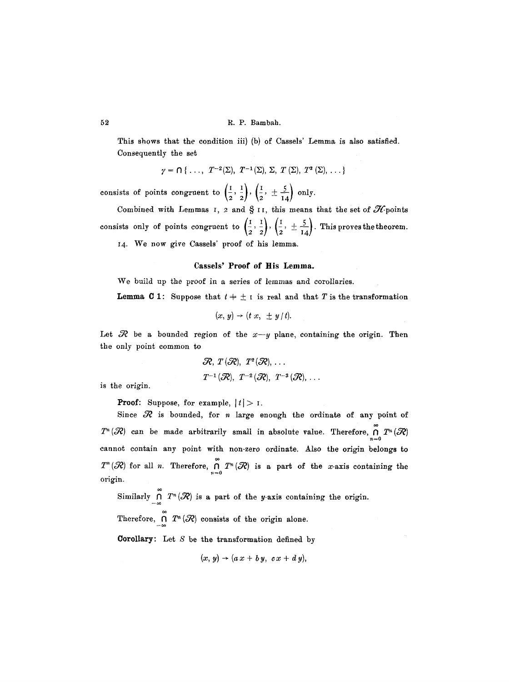This shows that the condition iii) (b) of Cassels' Lemma is also satisfied. Consequently the set

$$
\gamma = \bigcap \{ \ldots, T^{-2}(\Sigma), T^{-1}(\Sigma), \Sigma, T(\Sigma), T^2(\Sigma), \ldots \}
$$

consists of points congruent to  $\left(\frac{1}{2}, \frac{1}{2}\right), \left(\frac{1}{2}, \pm \frac{5}{14}\right)$  only.

Combined with Lemmas I, 2 and  $\S$  II, this means that the set of  $\mathscr{H}_{\text{points}}$ consists only of points congruent to  $\left(\frac{1}{2}, \frac{1}{2}\right), \left(\frac{1}{2}, \pm \frac{5}{14}\right)$ . This proves the theorem. I4. We now give Cassels' proof of his lemma.

#### **Cassels' Proof of His Lemma.**

We build up the proof in a series of lemmas and corollaries.

**Lemma C** 1: Suppose that  $t + \pm i$  is real and that T is the transformation

$$
(x, y) \rightarrow (t x, \pm y/t).
$$

Let  $\mathcal R$  be a bounded region of the  $x-y$  plane, containing the origin. Then the only point common to

> $\mathcal{R}, T(\mathcal{R}), T^2(\mathcal{R}), \ldots$  $T^{-1}(\mathcal{R}), T^{-2}(\mathcal{R}), T^{-3}(\mathcal{R}), \ldots$

is the origin.

**Proof:** Suppose, for example,  $|t| > 1$ .

Since  $\mathcal R$  is bounded, for n large enough the ordinate of any point of  $T^n(\mathcal{R})$  can be made arbitrarily small in absolute value. Therefore,  $\bigcap_{n=0}^{\infty} T^n(\mathcal{R})$ cannot contain any point with non-zero ordinate. Also the origin belongs to  $T^n({\mathcal R})$  for all n. Therefore,  $\bigcap_{n=0}^{\infty} T^n({\mathcal R})$  is a part of the x-axis containing the origin.

Similarly  $\bigcap_{n=0}^{\infty} T^n({\mathcal R})$  is a part of the *y*-axis containing the origin.

Therefore,  $\bigcap_{-\infty}^{\infty} T^n(\mathcal{R})$  consists of the origin alone.

**Corollary:** Let  $S$  be the transformation defined by

$$
(x, y) \rightarrow (a x + b y, c x + d y),
$$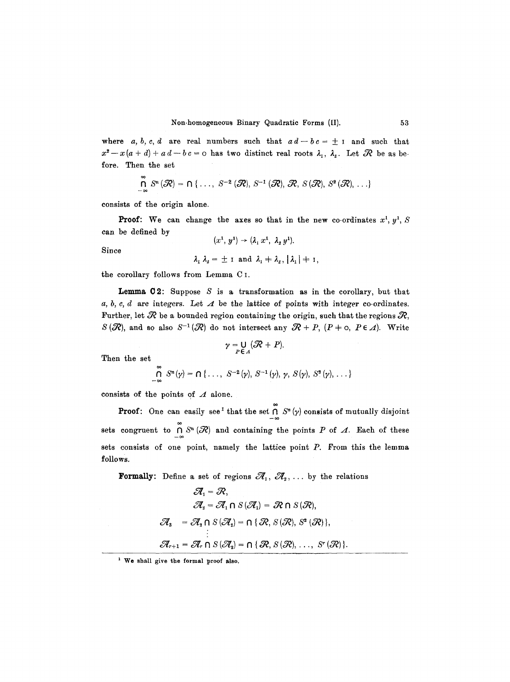where *a, b, c, d* are real numbers such that  $ad-bc = \pm 1$  and such that  $x^2-x(a+d)+a d-b c=0$  has two distinct real roots  $\lambda_1$ ,  $\lambda_2$ . Let  $\mathcal R$  be as before. Then the set

$$
\bigcap_{-\infty}^{\infty} S^{n}(\mathcal{R}) = \bigcap \{ \ldots, S^{-2}(\mathcal{R}), S^{-1}(\mathcal{R}), \mathcal{R}, S(\mathcal{R}), S^{2}(\mathcal{R}), \ldots \}
$$

consists of the origin alone.

**Proof:** We can change the axes so that in the new co-ordinates  $x^1$ ,  $y^1$ ,  $S$ can be defined by  $(1)$   $(2)$   $(3)$   $(1)$ 

$$
(x^1, y^1) \rightarrow (\lambda_1 x^1, \lambda_2 y^1).
$$

Since

$$
\lambda_1 \lambda_2 = \pm \text{ i and } \lambda_1 + \lambda_2, |\lambda_1| + \text{ i,}
$$

the corollary follows from Lemma C I.

**Lemma** C2: Suppose S is a transformation as in the corollary, but that a, b, c, d are integers. Let  $\Lambda$  be the lattice of points with integer co-ordinates. Further, let  $\mathcal R$  be a bounded region containing the origin, such that the regions  $\mathcal R,$  $S({\mathcal R})$ , and so also  $S^{-1}({\mathcal R})$  do not intersect any  ${\mathcal R} + P$ ,  $(P + \circ P \in A)$ . Write

$$
\gamma = \bigcup_{P \in \Lambda} (\mathcal{R} + P).
$$

Then the set

$$
\bigcap_{-\infty}^{\infty} S^{n}(\gamma) = \bigcap \{\ldots, S^{-2}(\gamma), S^{-1}(\gamma), \gamma, S(\gamma), S^{2}(\gamma), \ldots\}
$$

consists of the points of  $A$  alone.

**Proof:** One can easily see<sup>1</sup> that the set  $\bigcap_{-\infty} S^{n}(y)$  consists of mutually disjoint sets congruent to  $\bigcap_{-\infty} S^n (\mathcal{R})$  and containing the points P of  $\Lambda$ . Each of these sets consists of one point, namely the lattice point  $P$ . From this the lemma follows.

**Formally:** Define a set of regions  $\mathcal{A}_1, \mathcal{A}_2, \ldots$  by the relations

$$
\mathcal{A}_1 = \mathcal{R},
$$
  
\n
$$
\mathcal{A}_2 = \mathcal{A}_1 \cap S(\mathcal{A}_1) = \mathcal{R} \cap S(\mathcal{R}),
$$
  
\n
$$
\mathcal{A}_3 = \mathcal{A}_2 \cap S(\mathcal{A}_2) = \cap \{ \mathcal{R}, S(\mathcal{R}), S^2(\mathcal{R}) \},
$$
  
\n
$$
\vdots
$$
  
\n
$$
\mathcal{A}_{r+1} = \mathcal{A}_r \cap S(\mathcal{A}_2) = \cap \{ \mathcal{R}, S(\mathcal{R}), \dots, S^r(\mathcal{R}) \}.
$$

**<sup>1</sup> We shall give the formal proof also,**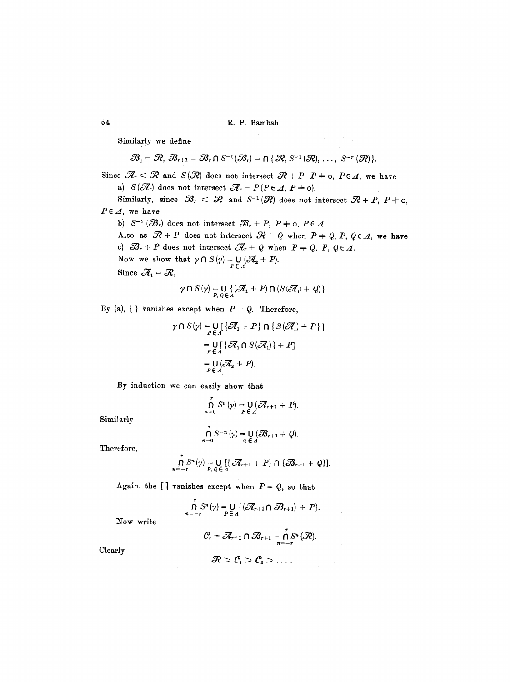54 R.P. Bambah.

Similarly we define

$$
\mathscr{B}_1=\mathscr{R},\ \mathscr{B}_{r+1}=\mathscr{B}_r\cap S^{-1}(\mathscr{B}_r)=\cap\{\mathscr{R},S^{-1}(\mathscr{R}),\ \ldots,\ S^{-r}(\mathscr{R})\}.
$$

Since  $\mathscr{R}_r < \mathscr{R}$  and  $S(\mathscr{R})$  does not intersect  $\mathscr{R} + P$ ,  $P \neq o$ ,  $P \in \mathscr{A}$ , we have

a)  $S(\mathcal{A}_r)$  does not intersect  $\mathcal{A}_r + P(P \in A, P + o)$ .

Similarly, since  $\mathcal{B}_r < \mathcal{R}$  and  $S^{-1}(\mathcal{R})$  does not intersect  $\mathcal{R} + P$ ,  $P \neq 0$ ,  $P \in \Lambda$ , we have

b)  $S^{-1}(\mathcal{B}_r)$  does not intersect  $\mathcal{B}_r + P$ ,  $P \neq o$ ,  $P \in \Lambda$ .

Also as  $\mathcal{R}+P$  does not intersect  $\mathcal{R}+Q$  when  $P+Q, P, Q \in \mathcal{A}$ , we have c)  $\mathcal{B}_r + P$  does not intersect  $\mathcal{A}_r + Q$  when  $P + Q$ ,  $P$ ,  $Q \in \mathcal{A}$ .

Now we show that  $\gamma \cap S(\gamma) = \bigcup_{P \in A} (\mathcal{A}_2 + P).$ 

Since  $\mathcal{A}_1 = \mathcal{R}$ ,

$$
\gamma \cap S(\gamma) = \bigcup_{P, Q \in \Lambda} \{(\mathcal{A}_1 + P) \cap (S(\mathcal{A}_1) + Q)\}.
$$

By (a),  $\{\}\$  vanishes except when  $P = Q$ . Therefore,

$$
\gamma \cap S(\gamma) = \bigcup_{P \in A} [\{\mathcal{A}_1 + P\} \cap \{S(\mathcal{A}_1) + P\}]
$$
  
= 
$$
\bigcup_{P \in A} [\{\mathcal{A}_1 \cap S(\mathcal{A}_1)\} + P]
$$
  
= 
$$
\bigcup_{P \in A} [\mathcal{A}_2 + P).
$$

By induction we can easily show that

$$
\bigcap_{n=0}^r S^n(\gamma) = \bigcup_{P \in A} (\mathcal{A}_{r+1} + P).
$$

Similarly

$$
\bigcap_{n=0}^{\tau} S^{-n}(\gamma) = \bigcup_{Q \in A} (\mathcal{B}_{r+1} + Q).
$$

Therefore,

$$
\bigcap_{n=-r}^{r} S^{n}(\gamma) = \bigcup_{P, Q \in \Lambda} [\{\mathscr{R}_{r+1} + P\} \cap \{\mathscr{B}_{r+1} + Q\}].
$$

Again, the [] vanishes except when  $P = Q$ , so that

$$
\bigcap_{n=-r}^{r} S^{n}(\gamma) = \bigcup_{P \in \Lambda} \{ (\mathcal{A}_{r+1} \cap \mathcal{B}_{r+1}) + P \}.
$$

Now write

$$
C_r = \mathcal{A}_{r+1} \cap \mathcal{B}_{r+1} = \bigcap_{n=-r}^{r} S^n (\mathcal{R}).
$$

Clearly

$$
\mathcal{R} > \mathcal{C}_1 > \mathcal{C}_2 > \ldots
$$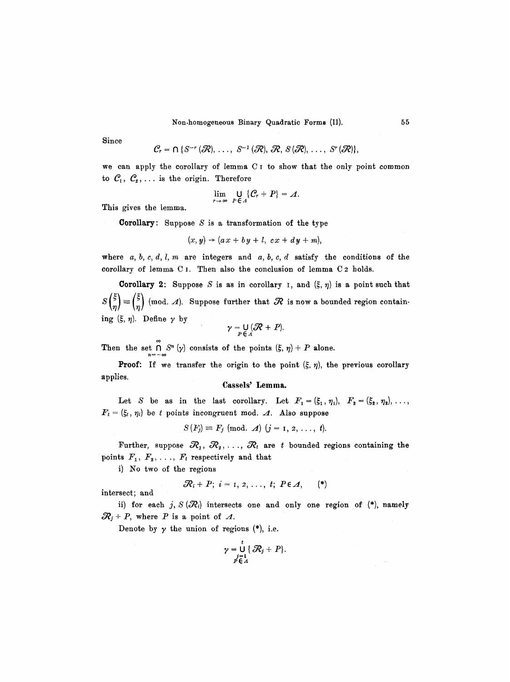Non.homogeneous Binary Quadratic Forms (If). 55

Since

$$
\mathcal{C}_r = \bigcap \{S^{-r}(\mathcal{R}), \ldots, S^{-1}(\mathcal{R}), \mathcal{R}, S(\mathcal{R}), \ldots, S^{r}(\mathcal{R})\},\
$$

we can apply the corollary of lemma C I to show that the only point common to  $C_1$ ,  $C_2$ , ... is the origin. Therefore

$$
\lim_{r\to\infty}\bigcup_{P\in\varLambda}\{\mathcal{C}_r+P\}=\varLambda.
$$

This gives the lemma.

**Corollary:** Suppose  $S$  is a transformation of the type

$$
(x, y) \rightarrow (ax + by + l, cx + dy + m),
$$

where  $a, b, c, d, l, m$  are integers and  $a, b, c, d$  satisfy the conditions of the corollary of lemma C I. Then also the conclusion of lemma C 2 holds.

**Corollary 2:** Suppose S is as in corollary 1, and  $(\xi, \eta)$  is a point such that  $S\binom{\xi}{n} \equiv \binom{\xi}{n}$  (mod.  $\Delta$ ). Suppose further that  $\Re$  is now a bounded region containing  $({\xi}, \eta)$ . Define  $\gamma$  by

$$
\gamma = \bigcup_{P \in \Lambda} (\mathcal{R} + P).
$$

Then the set  $\bigcap_{n=-\infty} S^n(\gamma)$  consists of the points  $(\xi, \eta) + P$  alone.

**Proof:** If we transfer the origin to the point  $(\xi, \eta)$ , the previous corollary applies.

## Cassels' **Lemma.**

Let S be as in the last corollary. Let  $F_1 = (\xi_1, \eta_1), F_2 = (\xi_2, \eta_2), \ldots,$  $F_t = (\xi_t, \eta_t)$  be t points incongruent mod. A. Also suppose

$$
S(F_j) \equiv F_j \pmod{A} \ (j = 1, 2, \ldots, t).
$$

Further, suppose  $\mathcal{R}_1, \mathcal{R}_2, \ldots, \mathcal{R}_t$  are t bounded regions containing the points  $F_1, F_2, \ldots, F_t$  respectively and that

i) No two of the regions

intersect; and

$$
\mathcal{R}_i+P; i=1,2,\ldots, t; P\in \mathcal{A}, \qquad (*)
$$

ii) for each j,  $S(\mathcal{R}_i)$  intersects one and only one region of (\*), namely  $\mathcal{R}_j + P$ , where P is a point of  $\Lambda$ .

Denote by  $\gamma$  the union of regions (\*), i.e.

$$
\gamma = \bigcup_{\substack{j=1\\ p \in A}}^t \{\mathcal{R}_j + P\}.
$$